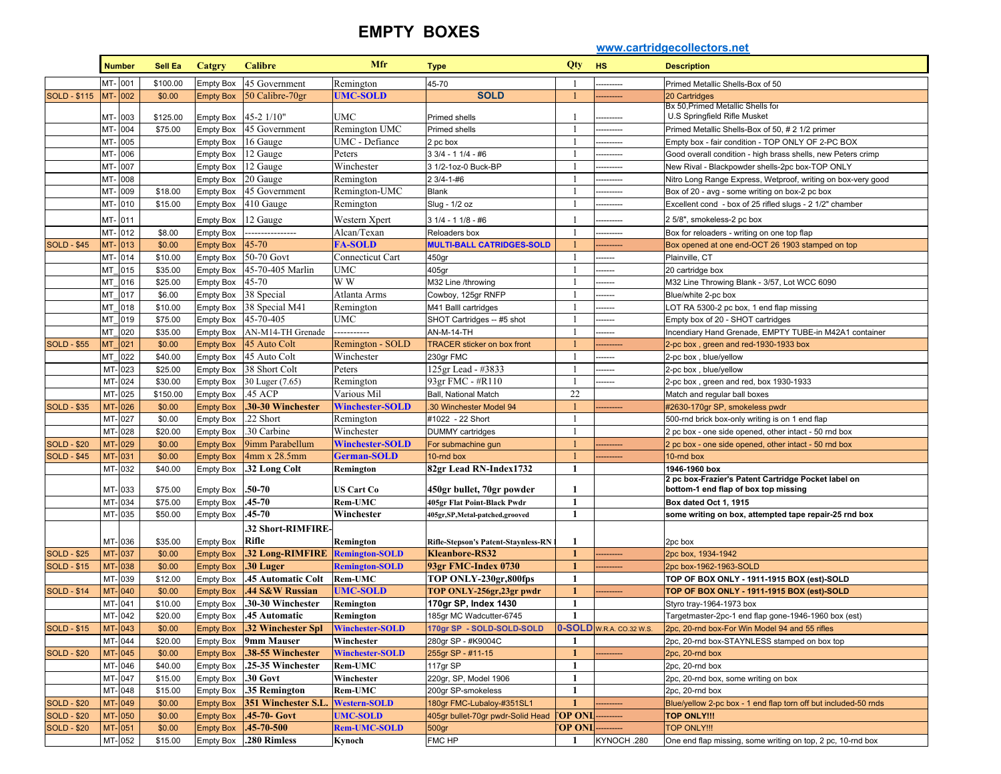## **EMPTY BOXES**

|                     |               |               |                   |                                      |                                 |                            |                                                                     |               | www.cartridgecollectors.net |                                                                                             |
|---------------------|---------------|---------------|-------------------|--------------------------------------|---------------------------------|----------------------------|---------------------------------------------------------------------|---------------|-----------------------------|---------------------------------------------------------------------------------------------|
|                     |               | <b>Number</b> | Sell Ea           | Catgry                               | <b>Calibre</b>                  | Mfr                        | <b>Type</b>                                                         | Qty           | <b>HS</b>                   | <b>Description</b>                                                                          |
|                     | MT-001        |               | \$100.00          | <b>Empty Box</b>                     | 45 Government                   | Remington                  | 45-70                                                               |               | ---------                   | Primed Metallic Shells-Box of 50                                                            |
| <b>SOLD - \$115</b> | MT- 002       |               | \$0.00            | <b>Empty Box</b>                     | 50 Calibre-70gr                 | <b>UMC-SOLD</b>            | <b>SOLD</b>                                                         |               |                             | 20 Cartridges                                                                               |
|                     |               |               |                   |                                      |                                 |                            |                                                                     |               |                             | Bx 50, Primed Metallic Shells for                                                           |
|                     |               | MT-003        | \$125.00          | <b>Empty Box</b>                     | $45 - 21/10$ "                  | <b>UMC</b>                 | <b>Primed shells</b>                                                |               |                             | U.S Springfield Rifle Musket                                                                |
|                     | MT- 004       |               | \$75.00           | <b>Empty Box</b>                     | 45 Government                   | Remington UMC              | Primed shells                                                       |               | --------                    | Primed Metallic Shells-Box of 50, # 2 1/2 primer                                            |
|                     | MT-           | 005           |                   | <b>Empty Box</b>                     | 16 Gauge                        | UMC - Defiance             | 2 pc box                                                            |               | ---------                   | Empty box - fair condition - TOP ONLY OF 2-PC BOX                                           |
|                     | MT-<br>MT-    | 006<br>007    |                   | <b>Empty Box</b>                     | 12 Gauge                        | Peters<br>Winchester       | $33/4 - 11/4 - #6$                                                  |               |                             | Good overall condition - high brass shells, new Peters crimp                                |
|                     |               |               |                   | <b>Empty Box</b>                     | 12 Gauge                        |                            | 3 1/2-1oz-0 Buck-BP                                                 |               | ------                      | New Rival - Blackpowder shells-2pc box-TOP ONLY                                             |
|                     |               | MT-008<br>009 |                   | <b>Empty Box</b>                     | 20 Gauge                        | Remington                  | 2 3/4-1-#6                                                          |               | ---------                   | Nitro Long Range Express, Wetproof, writing on box-very good                                |
|                     | MT-<br>MT-010 |               | \$18.00           | <b>Empty Box</b>                     | 45 Government                   | Remington-UMC<br>Remington | Blank                                                               |               | ---------                   | Box of 20 - avg - some writing on box-2 pc box                                              |
|                     |               |               | \$15.00           | <b>Empty Box</b>                     | 410 Gauge                       |                            | Slug - 1/2 oz                                                       |               |                             | Excellent cond - box of 25 rifled slugs - 2 1/2" chamber                                    |
|                     | MT-011        |               |                   | <b>Empty Box</b>                     | 12 Gauge                        | Western Xpert              | $31/4 - 11/8 - #6$                                                  |               |                             | 2 5/8", smokeless-2 pc box                                                                  |
|                     |               | MT-012        | \$8.00            | <b>Empty Box</b>                     | ---------------                 | Alcan/Texan                | Reloaders box                                                       |               | ---------                   | Box for reloaders - writing on one top flap                                                 |
| <b>SOLD - \$45</b>  | MT-           | 013           | \$0.00            | <b>Empty Box</b>                     | $ 45-70 $                       | <b>FA-SOLD</b>             | <b>MULTI-BALL CATRIDGES-SOLD</b>                                    |               |                             | Box opened at one end-OCT 26 1903 stamped on top                                            |
|                     | MT-           | 014           | \$10.00           | <b>Empty Box</b>                     | 50-70 Govt                      | Connecticut Cart           | 450gr                                                               |               |                             | Plainville, CT                                                                              |
|                     | MT            | 015           | \$35.00           | <b>Empty Box</b>                     | 45-70-405 Marlin                | UMC                        | 405gr                                                               |               |                             | 20 cartridge box                                                                            |
|                     | MT            | 016           | \$25.00           | <b>Empty Box</b>                     | 45-70                           | W W                        | M32 Line /throwing                                                  |               |                             | M32 Line Throwing Blank - 3/57, Lot WCC 6090                                                |
|                     | MT            | 017           | \$6.00            | <b>Empty Box</b>                     | 38 Special                      | Atlanta Arms               | Cowboy, 125gr RNFP                                                  |               |                             | Blue/white 2-pc box                                                                         |
|                     | MT            | 018           | \$10.00           | <b>Empty Box</b>                     | 38 Special M41                  | Remington                  | M41 Balll cartridges                                                |               |                             | LOT RA 5300-2 pc box, 1 end flap missing                                                    |
|                     | MT            | 019           | \$75.00           | <b>Empty Box</b>                     | 45-70-405                       | UMC                        | SHOT Cartridges -- #5 shot                                          |               |                             | Empty box of 20 - SHOT cartridges                                                           |
|                     | MT            | 020           | \$35.00           | <b>Empty Box</b>                     | AN-M14-TH Grenade               | .                          | <b>AN-M-14-TH</b>                                                   |               | ------                      | Incendiary Hand Grenade, EMPTY TUBE-in M42A1 container                                      |
| <b>SOLD - \$55</b>  | <b>MT</b>     | 021           | \$0.00            | <b>Empty Box</b>                     | 45 Auto Colt                    | Remington - SOLD           | <b>TRACER sticker on box front</b>                                  |               |                             | 2-pc box, green and red-1930-1933 box                                                       |
|                     | MT            | 022           | \$40.00           | <b>Empty Box</b>                     | 45 Auto Colt                    | Winchester                 | 230gr FMC                                                           |               |                             | 2-pc box, blue/yellow                                                                       |
|                     | MT-           | 023           | \$25.00           | <b>Empty Box</b>                     | 38 Short Colt                   | Peters                     | 125gr Lead - #3833                                                  |               | ------                      | 2-pc box, blue/yellow                                                                       |
|                     | MT-           | 024           | \$30.00           | <b>Empty Box</b>                     | 30 Luger (7.65)                 | Remington                  | 93gr FMC - #R110                                                    |               |                             | 2-pc box, green and red, box 1930-1933                                                      |
|                     |               | MT-025        | \$150.00          | <b>Empty Box</b>                     | .45 ACP                         | Various Mil                | Ball, National Match                                                | 22            |                             | Match and regular ball boxes                                                                |
| <b>SOLD - \$35</b>  |               | MT-026        | \$0.00            | <b>Empty Box</b>                     | .30-30 Winchester               | <b>Winchester-SOLD</b>     | 30 Winchester Model 94                                              |               |                             | #2630-170gr SP, smokeless pwdr                                                              |
|                     |               | MT-027        | \$0.00            | <b>Empty Box</b>                     | .22 Short                       | Remington                  | #1022 - 22 Short                                                    |               |                             | 500-rnd brick box-only writing is on 1 end flap                                             |
|                     |               | MT-028        | \$20.00           | <b>Empty Box</b>                     | .30 Carbine                     | Winchester                 | <b>DUMMY</b> cartridges                                             |               |                             | 2 pc box - one side opened, other intact - 50 rnd box                                       |
| <b>SOLD - \$20</b>  | MT-           | 029           | \$0.00            | <b>Empty Box</b>                     | 9imm Parabellum                 | <b>Winchester-SOLD</b>     | For submachine gun                                                  |               |                             | 2 pc box - one side opened, other intact - 50 rnd box                                       |
| <b>SOLD - \$45</b>  |               | MT-031        | \$0.00            | <b>Empty Box</b>                     | $4mm \times 28.5mm$             | <b>German-SOLD</b>         | 10-rnd box                                                          |               |                             | 10-rnd box                                                                                  |
|                     |               | MT-032        | \$40.00           | <b>Empty Box</b>                     | .32 Long Colt                   | Remington                  | 82gr Lead RN-Index1732                                              | 1             |                             | 1946-1960 box                                                                               |
|                     |               | MT-033        | \$75.00           | <b>Empty Box</b>                     | .50-70                          | <b>US Cart Co</b>          | 450gr bullet, 70gr powder                                           | 1             |                             | 2 pc box-Frazier's Patent Cartridge Pocket label on<br>bottom-1 end flap of box top missing |
|                     |               | MT-034        | \$75.00           | <b>Empty Box</b>                     | .45-70                          | <b>Rem-UMC</b>             | 405gr Flat Point-Black Pwdr                                         | 1             |                             | Box dated Oct 1, 1915                                                                       |
|                     |               | MT-035        | \$50.00           | <b>Empty Box</b>                     | .45-70                          | Winchester                 | 405gr,SP,Metal-patched,grooved                                      | $\mathbf{1}$  |                             | some writing on box, attempted tape repair-25 rnd box                                       |
|                     |               |               |                   |                                      | .32 Short-RIMFIRE.              |                            |                                                                     |               |                             |                                                                                             |
|                     |               |               |                   |                                      | Rifle                           | Remington                  |                                                                     | 1             |                             |                                                                                             |
| <b>SOLD - \$25</b>  | MT-037        | MT-036        | \$35.00<br>\$0.00 | <b>Empty Box</b><br><b>Empty Box</b> | .32 Long-RIMFIRE Remington-SOLD |                            | <b>Rifle-Stepson's Patent-Staynless-RN</b><br><b>Kleanbore-RS32</b> | $\mathbf{1}$  | --------                    | 2pc box<br>2pc box, 1934-1942                                                               |
| <b>SOLD - \$15</b>  |               | MT-038        | \$0.00            | <b>Empty Box</b>                     | .30 Luger                       | <b>Remington-SOLD</b>      | 93gr FMC-Index 0730                                                 | $\mathbf{1}$  |                             | 2pc box-1962-1963-SOLD                                                                      |
|                     |               | MT-039        | \$12.00           | <b>Empty Box</b>                     | .45 Automatic Colt              | <b>Rem-UMC</b>             | TOP ONLY-230gr,800fps                                               | 1             |                             | TOP OF BOX ONLY - 1911-1915 BOX (est)-SOLD                                                  |
| <b>SOLD - \$14</b>  |               | $MT-040$      | \$0.00            | <b>Empty Box</b>                     | .44 S&W Russian                 | <b>UMC-SOLD</b>            | TOP ONLY-256gr, 23gr pwdr                                           | 1             |                             | TOP OF BOX ONLY - 1911-1915 BOX (est)-SOLD                                                  |
|                     | MT-041        |               | \$10.00           | <b>Empty Box</b>                     | .30-30 Winchester               | Remington                  | 170gr SP, Index 1430                                                | $\mathbf{1}$  |                             | Styro tray-1964-1973 box                                                                    |
|                     |               | MT-042        | \$20.00           |                                      | .45 Automatic                   | Remington                  | 185gr MC Wadcutter-6745                                             | -1            |                             | Targetmaster-2pc-1 end flap gone-1946-1960 box (est)                                        |
| <b>SOLD - \$15</b>  |               | $MT-043$      | \$0.00            | <b>Empty Box</b><br><b>Empty Box</b> | .32 Winchester Spl              | <b>Winchester-SOLD</b>     | 170gr SP - SOLD-SOLD-SOLD                                           |               | 0-SOLD W.R.A. CO.32 W.S.    | 2pc, 20-rnd box-For Win Model 94 and 55 rifles                                              |
|                     |               | MT-044        | \$20.00           | <b>Empty Box</b>                     | 9mm Mauser                      | Winchester                 | 280gr SP - #K9004C                                                  | -1            |                             | 2pc, 20-rnd box-STAYNLESS stamped on box top                                                |
| <b>SOLD - \$20</b>  |               | $MT-$ 045     | \$0.00            | <b>Empty Box</b>                     | .38-55 Winchester               | <b>Winchester-SOLD</b>     | 255gr SP - #11-15                                                   | $\mathbf{1}$  |                             | 2pc, 20-rnd box                                                                             |
|                     |               | MT-046        | \$40.00           |                                      | .25-35 Winchester               | Rem-UMC                    | 117gr SP                                                            | 1             |                             |                                                                                             |
|                     |               | MT-047        | \$15.00           | <b>Empty Box</b>                     | .30 Govt                        | Winchester                 | 220gr, SP, Model 1906                                               | 1             |                             | 2pc, 20-rnd box<br>2pc, 20-rnd box, some writing on box                                     |
|                     |               | MT-048        |                   | <b>Empty Box</b>                     | .35 Remington                   | Rem-UMC                    | 200gr SP-smokeless                                                  | $\mathbf{1}$  |                             |                                                                                             |
| <b>SOLD - \$20</b>  |               | MT-049        | \$15.00<br>\$0.00 | <b>Empty Box</b><br><b>Empty Box</b> | 351 Winchester S.L.             | <b>Western-SOLD</b>        | 180gr FMC-Lubaloy-#351SL1                                           |               |                             | 2pc, 20-rnd box<br>Blue/yellow 2-pc box - 1 end flap torn off but included-50 rnds          |
| <b>SOLD - \$20</b>  |               | MT-050        | \$0.00            |                                      | .45-70- Govt                    | <b>UMC-SOLD</b>            | 405gr bullet-70gr pwdr-Solid Head                                   | OP ONI        |                             | <b>TOP ONLY!!!</b>                                                                          |
| <b>SOLD - \$20</b>  | MT-051        |               | \$0.00            | <b>Empty Box</b><br><b>Empty Box</b> | $.45 - 70 - 500$                | <b>Rem-UMC-SOLD</b>        | 500gr                                                               | <b>OP ONL</b> |                             | <b>TOP ONLY!!!</b>                                                                          |
|                     |               | MT-052        | \$15.00           |                                      | Empty Box .280 Rimless          | Kynoch                     | FMC HP                                                              | -1            | KYNOCH.280                  | One end flap missing, some writing on top, 2 pc, 10-rnd box                                 |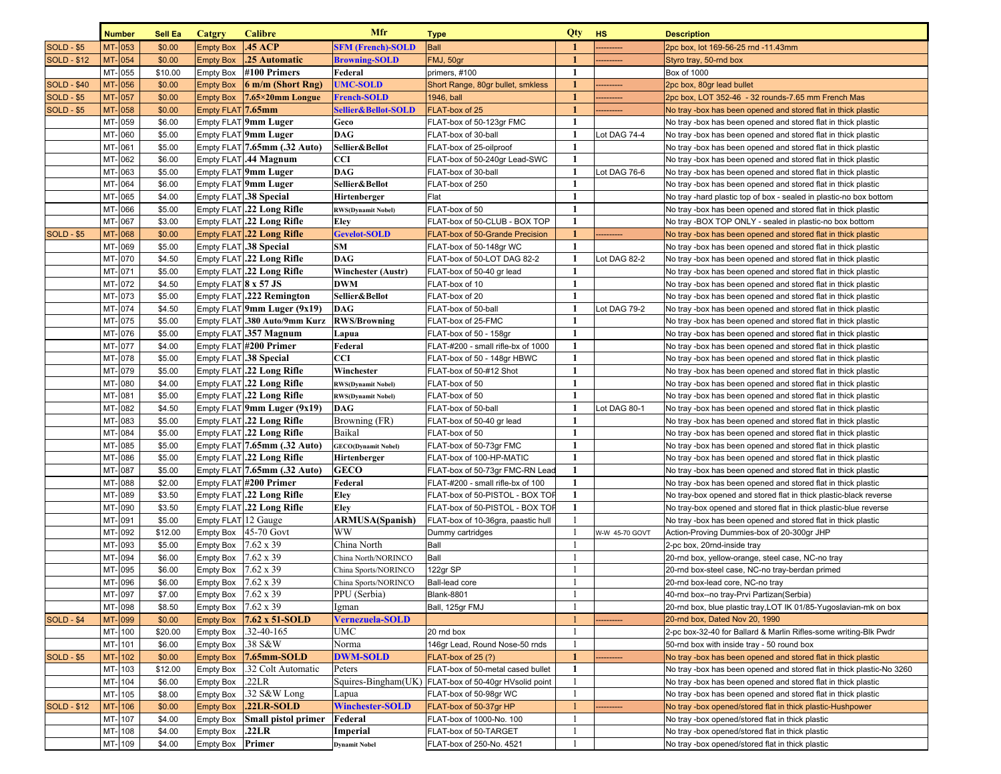|                    | <b>Number</b> | Sell Ea | Catgry                                    | <b>Calibre</b>                            | Mfr                        | <b>Type</b>                            | Qty HS         |                | <b>Description</b>                                                    |
|--------------------|---------------|---------|-------------------------------------------|-------------------------------------------|----------------------------|----------------------------------------|----------------|----------------|-----------------------------------------------------------------------|
| SOLD - \$5         | $MT-$ 053     | \$0.00  | <b>Empty Box</b>                          | .45 ACP                                   | <b>SFM (French)-SOLD</b>   | <b>Ball</b>                            |                |                | 2pc box, lot 169-56-25 rnd -11.43mm                                   |
| <b>SOLD - \$12</b> | MT-<br>054    | \$0.00  | <b>Empty Box</b>                          | .25 Automatic                             | <b>Browning-SOLD</b>       | FMJ, 50gr                              | $\mathbf{1}$   |                | Styro tray, 50-rnd box                                                |
|                    | MT-055        | \$10.00 | <b>Empty Box</b>                          | #100 Primers                              | Federal                    | primers, #100                          | 1              |                | <b>Box of 1000</b>                                                    |
| <b>SOLD - \$40</b> | $MT-$ 056     | \$0.00  | <b>Empty Box</b>                          | $6 \text{ m/m}$ (Short Rng)               | <b>UMC-SOLD</b>            | Short Range, 80gr bullet, smkless      | $\mathbf{1}$   |                | 2pc box, 80gr lead bullet                                             |
| <b>SOLD - \$5</b>  | MT-057        | \$0.00  | <b>Empty Box</b>                          | $7.65\times20$ mm Longue                  | <b>French-SOLD</b>         | 1946, ball                             | $\mathbf{1}$   |                | 2pc box, LOT 352-46 - 32 rounds-7.65 mm French Mas                    |
| <b>SOLD - \$5</b>  | MT-058        | \$0.00  | Empty FLAT 7.65mm                         |                                           | Sellier&Bellot-SOLD        | FLAT-box of 25                         | $\blacksquare$ | --------       | No tray -box has been opened and stored flat in thick plastic         |
|                    | MT-059        | \$6.00  |                                           | Empty FLAT 9mm Luger                      | Geco                       | FLAT-box of 50-123gr FMC               | 1              |                | No tray -box has been opened and stored flat in thick plastic         |
|                    | MT-<br>060    | \$5.00  |                                           | Empty FLAT 9mm Luger                      | <b>DAG</b>                 | FLAT-box of 30-ball                    | -1             | Lot DAG 74-4   | No tray -box has been opened and stored flat in thick plastic         |
|                    | MT-<br>061    | \$5.00  |                                           | Empty FLAT $7.65$ mm $(.32 \text{ Auto})$ | Sellier&Bellot             | -LAT-box of 25-oilproof                | $\blacksquare$ |                | No tray -box has been opened and stored flat in thick plastic         |
|                    | MT-<br>062    | \$6.00  |                                           | Empty FLAT .44 Magnum                     | CCI                        | FLAT-box of 50-240gr Lead-SWC          | $\mathbf{1}$   |                | No tray -box has been opened and stored flat in thick plastic         |
|                    | 063<br>MT-    | \$5.00  |                                           | Empty FLAT 9mm Luger                      | <b>DAG</b>                 | FLAT-box of 30-ball                    | 1              | Lot DAG 76-6   | No tray -box has been opened and stored flat in thick plastic         |
|                    | MT-<br>064    | \$6.00  |                                           | Empty FLAT 9mm Luger                      | Sellier&Bellot             | FLAT-box of 250                        | 1              |                | No tray -box has been opened and stored flat in thick plastic         |
|                    | MT-<br>065    | \$4.00  |                                           | Empty FLAT 38 Special                     | Hirtenberger               | Flat                                   | $\mathbf{1}$   |                | No tray -hard plastic top of box - sealed in plastic-no box bottom    |
|                    | 066<br>MT-    | \$5.00  |                                           | Empty $FLAT$ .22 Long Rifle               | <b>RWS(Dynamit Nobel)</b>  | FLAT-box of 50                         | 1              |                | No tray -box has been opened and stored flat in thick plastic         |
|                    | MT-067        | \$3.00  |                                           | Empty FLAT 22 Long Rifle                  | <b>Eley</b>                | FLAT-box of 50-CLUB - BOX TOP          | -1             |                | No tray -BOX TOP ONLY - sealed in plastic-no box bottom               |
| <b>SOLD - \$5</b>  | MT-<br>068    | \$0.00  |                                           | Empty FLAT 22 Long Rifle                  | <b>Gevelot-SOLD</b>        | <b>FLAT-box of 50-Grande Precision</b> | 1              |                | No tray -box has been opened and stored flat in thick plastic         |
|                    | MT-069        | \$5.00  |                                           | Empty FLAT .38 Special                    | SM                         | FLAT-box of 50-148gr WC                | $\mathbf{1}$   |                | No tray -box has been opened and stored flat in thick plastic         |
|                    | MT-070        | \$4.50  |                                           | Empty $FLAT$ .22 Long Rifle               | <b>DAG</b>                 | FLAT-box of 50-LOT DAG 82-2            | 1              | Lot DAG 82-2   | No tray -box has been opened and stored flat in thick plastic         |
|                    | MT-<br>071    | \$5.00  |                                           | Empty FLAT .22 Long Rifle                 | <b>Winchester (Austr)</b>  | FLAT-box of 50-40 gr lead              | 1              |                | No tray -box has been opened and stored flat in thick plastic         |
|                    | MT-<br>072    | \$4.50  | Empty FLAT $8 \times 57$ JS               |                                           | <b>DWM</b>                 | FLAT-box of 10                         | 1              |                | No tray -box has been opened and stored flat in thick plastic         |
|                    | MT-073        | \$5.00  |                                           | Empty FLAT .222 Remington                 | Sellier&Bellot             | FLAT-box of 20                         | 1              |                | No tray -box has been opened and stored flat in thick plastic         |
|                    | MT-<br>074    | \$4.50  |                                           | Empty FLAT 9mm Luger (9x19)               | <b>DAG</b>                 | -LAT-box of 50-ball                    | 1              | Lot DAG 79-2   | No tray -box has been opened and stored flat in thick plastic         |
|                    | MT-<br>075    | \$5.00  |                                           | Empty FLAT 380 Auto/9mm Kurz              | <b>RWS/Browning</b>        | FLAT-box of 25-FMC                     | 1              |                | No tray -box has been opened and stored flat in thick plastic         |
|                    | MT-076        | \$5.00  |                                           | Empty FLAT 357 Magnum                     | Lapua                      | -LAT-box of 50 - 158gr                 | $\mathbf{1}$   |                | No tray -box has been opened and stored flat in thick plastic         |
|                    | 077<br>MT-    | \$4.00  |                                           | Empty FLAT #200 Primer                    | Federal                    | FLAT-#200 - small rifle-bx of 1000     | $\mathbf{1}$   |                | No tray -box has been opened and stored flat in thick plastic         |
|                    | MT-<br>078    | \$5.00  |                                           | Empty FLAT 38 Special                     | <b>CCI</b>                 | FLAT-box of 50 - 148gr HBWC            | 1              |                | No tray -box has been opened and stored flat in thick plastic         |
|                    | MT-<br>079    | \$5.00  |                                           | Empty FLAT 22 Long Rifle                  | Winchester                 | FLAT-box of 50-#12 Shot                | $\mathbf{1}$   |                | No tray -box has been opened and stored flat in thick plastic         |
|                    | 080<br>MT-    | \$4.00  |                                           | Empty $FLAT$ .22 Long Rifle               | <b>RWS(Dynamit Nobel)</b>  | FLAT-box of 50                         | $\mathbf{1}$   |                | No tray -box has been opened and stored flat in thick plastic         |
|                    | MT-081        | \$5.00  |                                           | Empty FLAT 22 Long Rifle                  | <b>RWS(Dynamit Nobel)</b>  | FLAT-box of 50                         | $\mathbf{1}$   |                | No tray -box has been opened and stored flat in thick plastic         |
|                    | MT-<br>082    | \$4.50  |                                           | Empty FLAT $9$ mm Luger (9x19)            | <b>DAG</b>                 | FLAT-box of 50-ball                    | $\mathbf{1}$   | Lot DAG 80-1   | No tray -box has been opened and stored flat in thick plastic         |
|                    | MT-<br>083    | \$5.00  |                                           | Empty FLAT 22 Long Rifle                  | Browning (FR)              | FLAT-box of 50-40 gr lead              | $\mathbf{1}$   |                | No tray -box has been opened and stored flat in thick plastic         |
|                    | 084<br>MT-    | \$5.00  |                                           | Empty $FLAT$ .22 Long Rifle               | Baikal                     | FLAT-box of 50                         | $\mathbf{1}$   |                | No tray -box has been opened and stored flat in thick plastic         |
|                    | 085<br>MT-    | \$5.00  |                                           | Empty FLAT $7.65$ mm $(.32 \text{ Auto})$ | <b>GECO(Dynamit Nobel)</b> | FLAT-box of 50-73gr FMC                | 1              |                | No tray -box has been opened and stored flat in thick plastic         |
|                    | MT-<br>086    | \$5.00  |                                           | Empty $FLAT$ .22 Long Rifle               | Hirtenberger               | FLAT-box of 100-HP-MATIC               | $\blacksquare$ |                | No tray -box has been opened and stored flat in thick plastic         |
|                    | MT-<br>087    | \$5.00  |                                           | Empty FLAT $7.65$ mm $(.32 \text{ Auto})$ | <b>GECO</b>                | FLAT-box of 50-73gr FMC-RN Lead        | 1              |                | No tray -box has been opened and stored flat in thick plastic         |
|                    | 088<br>MT-    | \$2.00  |                                           | Empty FLAT #200 Primer                    | Federal                    | FLAT-#200 - small rifle-bx of 100      | 1              |                | No tray -box has been opened and stored flat in thick plastic         |
|                    | MT-<br>089    | \$3.50  |                                           | Empty $FLAT$ .22 Long Rifle               | Eley                       | FLAT-box of 50-PISTOL - BOX TO         | -1             |                | No tray-box opened and stored flat in thick plastic-black reverse     |
|                    | MT-<br>090    | \$3.50  |                                           | Empty FLAT 22 Long Rifle                  | Eley                       | FLAT-box of 50-PISTOL - BOX TOP        | $\mathbf{1}$   |                | No tray-box opened and stored flat in thick plastic-blue reverse      |
|                    | 091<br>MT-    | \$5.00  |                                           | Empty FLAT 12 Gauge                       | <b>ARMUSA</b> (Spanish)    | FLAT-box of 10-36gra, paastic hull     |                |                | No tray -box has been opened and stored flat in thick plastic         |
|                    | MT-<br>092    | \$12.00 |                                           | Empty Box $45-70$ Govt                    | <b>WW</b>                  | Dummy cartridges                       |                | W-W 45-70 GOVT | Action-Proving Dummies-box of 20-300gr JHP                            |
|                    | MT-<br>093    | \$5.00  | Empty Box $\left  7.62 \times 39 \right $ |                                           | China North                | Ball                                   | $\overline{1}$ |                | 2-pc box, 20rnd-inside tray                                           |
|                    | MT-<br>094    | \$6.00  | Empty Box $\left  7.62 \times 39 \right $ |                                           | China North/NORINCO        | Ball                                   |                |                | 20-rnd box, yellow-orange, steel case, NC-no tray                     |
|                    | MT-<br>095    | \$6.00  | <b>Empty Box</b>                          | $7.62 \times 39$                          | China Sports/NORINCO       | 122gr SP                               | -1             |                | 20-rnd box-steel case, NC-no tray-berdan primed                       |
|                    | MT-<br>096    | \$6.00  | Empty Box 7.62 x 39                       |                                           | China Sports/NORINCO       | Ball-lead core                         |                |                | 20-rnd box-lead core, NC-no tray                                      |
|                    | MT-097        | \$7.00  | Empty Box $7.62 \times 39$                |                                           | PPU (Serbia)               | <b>Blank-8801</b>                      |                |                | 40-rnd box--no tray-Prvi Partizan(Serbia)                             |
|                    | MT-098        | \$8.50  | <b>Empty Box</b>                          | 7.62 x 39                                 | lgman                      | Ball, 125gr FMJ                        |                |                | 20-rnd box, blue plastic tray, LOT IK 01/85-Yugoslavian-mk on box     |
| SOLD - \$4         | MT-099        | \$0.00  | <b>Empty Box</b>                          | 7.62 x 51-SOLD                            | <b>Vernezuela-SOLD</b>     |                                        |                |                | 20-rnd box, Dated Nov 20, 1990                                        |
|                    | MT-<br>100    | \$20.00 | <b>Empty Box</b>                          | $.32 - 40 - 165$                          | UMC                        | 20 rnd box                             |                |                | 2-pc box-32-40 for Ballard & Marlin Rifles-some writing-Blk Pwdr      |
|                    | MT-101        | \$6.00  | Empty Box 38 S&W                          |                                           | Norma                      | 146gr Lead, Round Nose-50 rnds         |                |                | 50-rnd box with inside tray - 50 round box                            |
| <b>SOLD - \$5</b>  | MT-<br>102    | \$0.00  | <b>Empty Box</b>                          | $7.65$ mm-SOLD                            | <b>DWM-SOLD</b>            | $FLAT-box of 25(?)$                    |                |                | No tray -box has been opened and stored flat in thick plastic         |
|                    | MT-<br>103    | \$12.00 | Empty Box                                 | .32 Colt Automatic                        | Peters                     | FLAT-box of 50-metal cased bullet      | -1             |                | No tray -box has been opened and stored flat in thick plastic-No 3260 |
|                    | MT-<br>104    | \$6.00  | <b>Empty Box</b>                          | .22LR                                     | Squires-Bingham(UK)        | FLAT-box of 50-40gr HVsolid point      |                |                | No tray -box has been opened and stored flat in thick plastic         |
|                    | MT-<br>105    | \$8.00  | Empty Box                                 | .32 S&W Long                              | Lapua                      | FLAT-box of 50-98gr WC                 |                |                | No tray -box has been opened and stored flat in thick plastic         |
| <b>SOLD - \$12</b> | MT-<br>106    | \$0.00  | <b>Empty Box</b>                          | $.22LR-SOLD$                              | <b>Winchester-SOLD</b>     | FLAT-box of 50-37gr HP                 |                |                | No tray -box opened/stored flat in thick plastic-Hushpower            |
|                    | MT-<br>107    | \$4.00  | <b>Empty Box</b>                          | Small pistol primer                       | Federal                    | FLAT-box of 1000-No. 100               | $\overline{1}$ |                | No tray -box opened/stored flat in thick plastic                      |
|                    | MT-<br>108    | \$4.00  | <b>Empty Box</b>                          | .22LR                                     | Imperial                   | -LAT-box of 50-TARGET                  |                |                | No tray -box opened/stored flat in thick plastic                      |
|                    | MT-109        | \$4.00  | Empty Box Primer                          |                                           | <b>Dynamit Nobel</b>       | FLAT-box of 250-No. 4521               |                |                | No tray -box opened/stored flat in thick plastic                      |